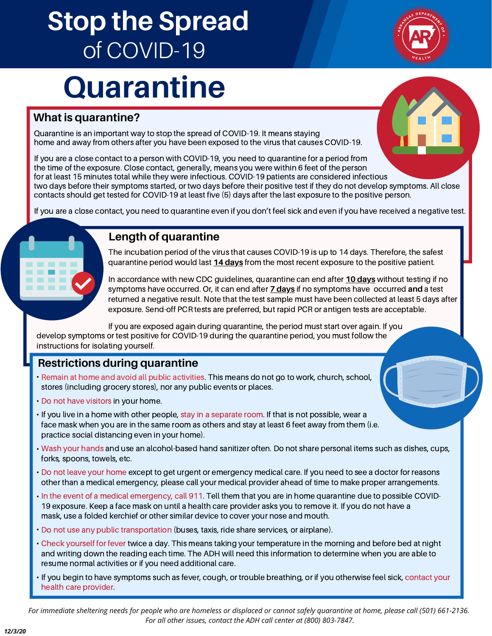## **Stop the Spread** of COVID-19

# **Quarantine**

#### **What is quarantine?**

Quarantine is an important way to stop the spread of COVID-19. It means staying home and away from others after you have been exposed to the virus that causes COVID-19.

If you are a close contact to a person with COVID-19, you need to quarantine for a period from the time of the exposure. Close contact, generally, means you were within 6 feet of the person for at least 15 minutes total while they were infectious. COVID-19 patients are considered infectious two days before their symptoms started, or two days before their positive test if they do not develop symptoms. All close

contacts should get tested for COVID-19 at least five (5) days after the last exposure to the positive person.

If you are a close contact, you need to quarantine even if you don't feel sick and even if you have received a negative test.

#### **Length of quarantine**

The incubation period of the virus that causes COVID-19 is up to 14 days. Therefore, the safest quarantine period would last **14 days** from the most recent exposure to the positive patient.

In accordance with new CDC guidelines, quarantine can end after **10 days** without testing if no symptoms have occurred. Or, it can end after **7 days** if no symptoms have occurred **and** a test returned a negative result. Note that the test sample must have been collected at least 5 days after exposure. Send-off PCR tests are preferred, but rapid PCR or antigen tests are acceptable.

If you are exposed again during quarantine, the period must start over again. If you develop symptoms or test positive for COVID-19 during the quarantine period, you must follow the

#### **Restrictions during quarantine**

- **•** Remain at home and avoid all public activities. This means do not go to work, church, school, stores (including grocery stores), nor any public events or places.
- Do not have visitors in your home. **•**

instructions for isolating yourself.

- **•** If you live in a home with other people, stay in a separate room. If that is not possible, wear a face mask when you are in the same room as others and stay at least 6 feet away from them (i.e. practice social distancing even in your home).
- Wash your hands and use an alcohol-based hand sanitizer often. Do not share personal items such as dishes, cups, **•** forks, spoons, towels, etc.
- Do not leave your home except to get urgent or emergency medical care. If you need to see a doctor for reasons **•** other than a medical emergency, please call your medical provider ahead of time to make proper arrangements.
- In the event of a medical emergency, call 911. Tell them that you are in home quarantine due to possible COVID-19 exposure. Keep a face mask on until a health care provider asks you to remove it. If you do not have a mask, use a folded kerchief or other similar device to cover your nose and mouth.
- Do not use any public transportation (buses, taxis, ride share services, or airplane). **•**
- Check yourself for fever twice a day. This means taking your temperature in the morning and before bed at night **•** and writing down the reading each time. The ADH will need this information to determine when you are able to resume normal activities or if you need additional care.
- If you begin to have symptoms such as fever, cough, or trouble breathing, or if you otherwise feel sick, contact your health care provider.

*For immediate sheltering needs for people who are homeless or displaced or cannot safely quarantine at home, please call (501) 661-2136. For all other issues, contact the ADH call center at (800) 803-7847.*